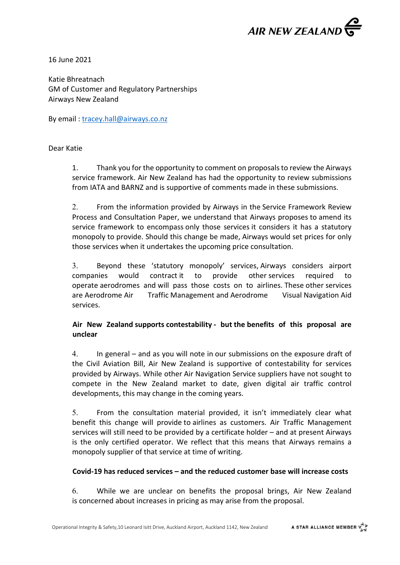

16 June 2021

Katie Bhreatnach GM of Customer and Regulatory Partnerships Airways New Zealand

By email : [tracey.hall@airways.co.nz](mailto:tracey.hall@airways.co.nz)

Dear Katie

1. Thank you for the opportunity to comment on proposals to review the Airways service framework. Air New Zealand has had the opportunity to review submissions from IATA and BARNZ and is supportive of comments made in these submissions.

2. From the information provided by Airways in the Service Framework Review Process and Consultation Paper, we understand that Airways proposes to amend its service framework to encompass only those services it considers it has a statutory monopoly to provide. Should this change be made, Airways would set prices for only those services when it undertakes the upcoming price consultation.

3. Beyond these 'statutory monopoly' services, Airways considers airport companies would contract it to provide other services required to operate aerodromes and will pass those costs on to airlines. These other services are Aerodrome Air Traffic Management and Aerodrome Visual Navigation Aid services.

# **Air New Zealand supports contestability - but the benefits of this proposal are unclear**

4. In general – and as you will note in our submissions on the exposure draft of the Civil Aviation Bill, Air New Zealand is supportive of contestability for services provided by Airways. While other Air Navigation Service suppliers have not sought to compete in the New Zealand market to date, given digital air traffic control developments, this may change in the coming years.

5. From the consultation material provided, it isn't immediately clear what benefit this change will provide to airlines as customers. Air Traffic Management services will still need to be provided by a certificate holder – and at present Airways is the only certified operator. We reflect that this means that Airways remains a monopoly supplier of that service at time of writing.

### **Covid-19 has reduced services – and the reduced customer base will increase costs**

6. While we are unclear on benefits the proposal brings, Air New Zealand is concerned about increases in pricing as may arise from the proposal.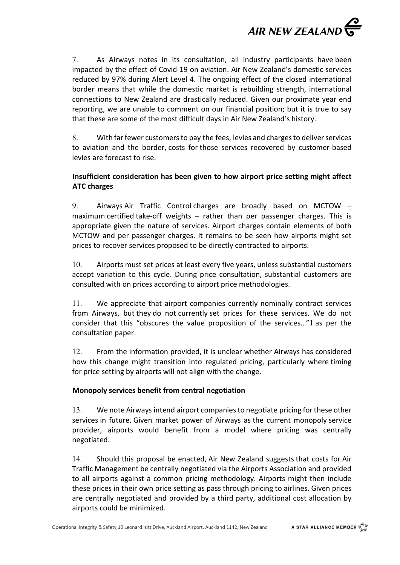

7. As Airways notes in its consultation, all industry participants have been impacted by the effect of Covid-19 on aviation. Air New Zealand's domestic services reduced by 97% during Alert Level 4. The ongoing effect of the closed international border means that while the domestic market is rebuilding strength, international connections to New Zealand are drastically reduced. Given our proximate year end reporting, we are unable to comment on our financial position; but it is true to say that these are some of the most difficult days in Air New Zealand's history.

8. With far fewer customers to pay the fees, levies and charges to deliver services to aviation and the border, costs for those services recovered by customer-based levies are forecast to rise.

## **Insufficient consideration has been given to how airport price setting might affect ATC charges**

9. Airways Air Traffic Control charges are broadly based on MCTOW – maximum certified take-off weights – rather than per passenger charges. This is appropriate given the nature of services. Airport charges contain elements of both MCTOW and per passenger charges. It remains to be seen how airports might set prices to recover services proposed to be directly contracted to airports.

10. Airports must set prices at least every five years, unless substantial customers accept variation to this cycle. During price consultation, substantial customers are consulted with on prices according to airport price methodologies.

11. We appreciate that airport companies currently nominally contract services from Airways, but they do not currently set prices for these services. We do not consider that this "obscures the value proposition of the services…"1 as per the consultation paper.

12. From the information provided, it is unclear whether Airways has considered how this change might transition into regulated pricing, particularly where timing for price setting by airports will not align with the change.

## **Monopoly services benefit from central negotiation**

13. We note Airways intend airport companies to negotiate pricing for these other services in future. Given market power of Airways as the current monopoly service provider, airports would benefit from a model where pricing was centrally negotiated.

14. Should this proposal be enacted, Air New Zealand suggests that costs for Air Traffic Management be centrally negotiated via the Airports Association and provided to all airports against a common pricing methodology. Airports might then include these prices in their own price setting as pass through pricing to airlines. Given prices are centrally negotiated and provided by a third party, additional cost allocation by airports could be minimized.